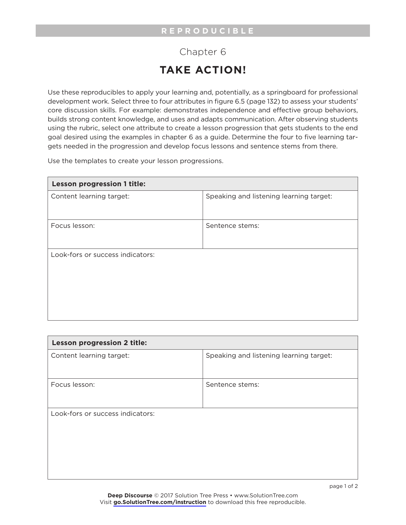## Chapter 6 **TAKE ACTION!**

Use these reproducibles to apply your learning and, potentially, as a springboard for professional development work. Select three to four attributes in figure 6.5 (page 132) to assess your students' core discussion skills. For example: demonstrates independence and effective group behaviors, builds strong content knowledge, and uses and adapts communication. After observing students using the rubric, select one attribute to create a lesson progression that gets students to the end goal desired using the examples in chapter 6 as a guide. Determine the four to five learning targets needed in the progression and develop focus lessons and sentence stems from there.

Use the templates to create your lesson progressions.

| <b>Lesson progression 1 title:</b> |                                         |  |
|------------------------------------|-----------------------------------------|--|
| Content learning target:           | Speaking and listening learning target: |  |
|                                    |                                         |  |
| Focus lesson:                      | Sentence stems:                         |  |
|                                    |                                         |  |
| Look-fors or success indicators:   |                                         |  |
|                                    |                                         |  |
|                                    |                                         |  |
|                                    |                                         |  |
|                                    |                                         |  |

| Lesson progression 2 title:      |                                         |
|----------------------------------|-----------------------------------------|
| Content learning target:         | Speaking and listening learning target: |
|                                  |                                         |
| Focus lesson:                    | Sentence stems:                         |
|                                  |                                         |
| Look-fors or success indicators: |                                         |
|                                  |                                         |
|                                  |                                         |
|                                  |                                         |
|                                  |                                         |